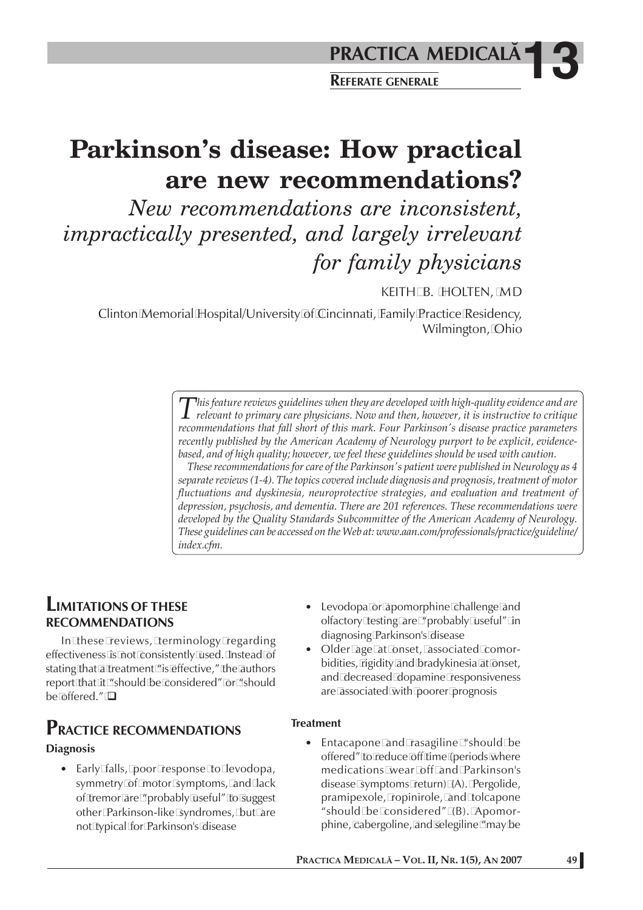# **Parkinson's disease: How practical are new recommendations?**

*New recommendations are inconsistent, impractically presented, and largely irrelevant for family physicians*

KEITH B. HOLTEN, MD

Clinton Memorial Hospital/University of Cincinnati, Family Practice Residency, Wilmington, Ohio

> *This feature reviews guidelines when they are developed with high-quality evidence and are*<br>*relevant to primary care physicians. Now and then, however, it is instructive to critique*<br>*resummentations that fell short of t recommendations that fall short of this mark. Four Parkinson's disease practice parameters recently published by the American Academy of Neurology purport to be explicit, evidencebased, and of high quality; however, we feel these guidelines should be used with caution.*

> *These recommendations for care of the Parkinson's patient were published in Neurology as 4 separate reviews (1-4). The topics covered include diagnosis and prognosis, treatment of motor fluctuations and dyskinesia, neuroprotective strategies, and evaluation and treatment of depression, psychosis, and dementia. There are 201 references. These recommendations were developed by the Quality Standards Subcommittee of the American Academy of Neurology. These guidelines can be accessed on the Web at: www.aan.com/professionals/practice/guideline/ index.cfm.*

### **LIMITATIONS OF THESE RECOMMENDATIONS**

In these reviews, terminology regarding effectiveness is not consistently used. Instead of stating that a treatment "is effective," the authors report that it "should be considered" or "should be offered."  $\square$ 

## **PRACTICE RECOMMENDATIONS**

#### **Diagnosis**

• Early falls, poor response to levodopa, symmetry of motor symptoms, and lack of tremor are "probably useful" to suggest other Parkinson-like syndromes, but are not typical for Parkinson's disease

- Levodopa or apomorphine challenge and olfactory testing are "probably useful" in diagnosing Parkinson's disease
- Older age at onset, associated comorbidities, rigidity and bradykinesia at onset, and decreased dopamine responsiveness are associated with poorer prognosis

#### **Treatment**

• Entacapone and rasagiline "should be offered" to reduce off time (periods where medications wear off and Parkinson's disease symptoms return) (A). Pergolide, pramipexole, ropinirole, and tolcapone "should be considered" (B). Apomorphine, cabergoline, and selegiline "may be